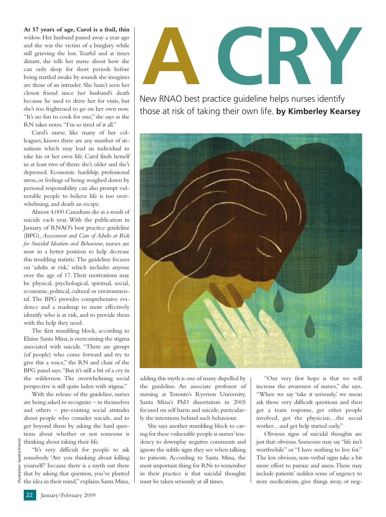**At 57 years of age, Carol is a frail, thin** widow. Her husband passed away a year ago and she was the victim of a burglary while still grieving the loss. Tearful and at times distant, she tells her nurse about how she can only sleep for short periods before being startled awake by sounds she imagines are those of an intruder. She hasn't seen her closest friend since her husband's death because he used to drive her for visits, but she's too frightened to go on her own now. "It's no fun to cook for one," she says as the RN takes notes."I'm so tired of it all."

Carol's nurse, like many of her colleagues, knows there are any number of situations which may lead an individual to take his or her own life. Carol finds herself in at least two of them: she's older and she's depressed. Economic hardship, professional stress, or feelings of being weighed down by personal responsibility can also prompt vulnerable people to believe life is too overwhelming, and death an escape.

Almost 4,000 Canadians die as a result of suicide each year. With the publication in January of RNAO's best practice guideline (BPG), *Assessment and Care of Adults at Risk for Suicidal Ideation and Behaviour*, nurses are now in a better position to help decrease this troubling statistic.The guideline focuses on 'adults at risk,' which includes anyone over the age of 17. Their motivations may be physical, psychological, spiritual, social, economic, political, cultural or environmental.The BPG provides comprehensive evidence and a roadmap to more effectively identify who is at risk, and to provide them with the help they need.

The first stumbling block, according to Elaine Santa Mina,is overcoming the stigma associated with suicide. "There are groups (of people) who come forward and try to give this a voice," the RN and chair of the BPG panel says."But it's still a bit of a cry in the wilderness. The overwhelming social perspective is still quite laden with stigma."

With the release of the guideline, nurses are being asked to recognize – in themselves and others – pre-existing social attitudes about people who consider suicide, and to get beyond them by asking the hard questions about whether or not someone is thinking about taking their life.

"It's very difficult for people to ask somebody 'Are you thinking about killing yourself?' because there is a myth out there that by asking that question, you've planted the idea in their mind,"explains Santa Mina,



New RNAO best practice guideline helps nurses identify those at risk of taking their own life. **by Kimberley Kearsey**



adding this myth is one of many dispelled by the guideline. An associate professor of nursing at Toronto's Ryerson University, Santa Mina's PhD dissertation in 2005 focused on self harm and suicide, particularly the intentions behind such behaviour.

She says another stumbling block to caring for these vulnerable people is nurses'tendency to downplay negative comments and ignore the subtle signs they see when talking to patients. According to Santa Mina, the most important thing for RNs to remember in their practice is that suicidal thoughts must be taken seriously at all times.

"Our very first hope is that we will increase the awareness of nurses," she says. "When we say 'take it seriously,' we mean ask those very difficult questions and then get a team response, get other people involved, get the physician…the social worker…and get help started early."

Obvious signs of suicidal thoughts are just that: obvious. Someone may say "life isn't worthwhile" or "I have nothing to live for." The less obvious, non-verbal signs take a bit more effort to pursue and assess.These may include patients' sudden sense of urgency to store medications, give things away, or neg-